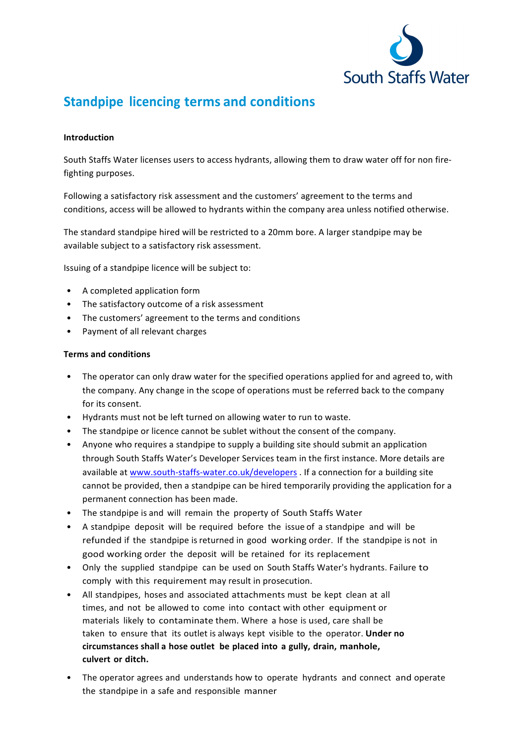

# **Standpipe licencing terms and conditions**

## **Introduction**

South Staffs Water licenses users to access hydrants, allowing them to draw water off for non firefighting purposes.

Following a satisfactory risk assessment and the customers' agreement to the terms and conditions, access will be allowed to hydrants within the company area unless notified otherwise.

The standard standpipe hired will be restricted to a 20mm bore. A larger standpipe may be available subject to a satisfactory risk assessment.

Issuing of a standpipe licence will be subject to:

- A completed application form
- The satisfactory outcome of a risk assessment
- The customers' agreement to the terms and conditions
- Payment of all relevant charges

### **Terms and conditions**

- The operator can only draw water for the specified operations applied for and agreed to, with the company. Any change in the scope of operations must be referred back to the company for its consent.
- Hydrants must not be left turned on allowing water to run to waste.
- The standpipe or licence cannot be sublet without the consent of the company.
- Anyone who requires a standpipe to supply a building site should submit an application through South Staffs Water's Developer Services team in the first instance. More details are available at [www.south-staffs-water.co.uk/developers](https://www.south-staffs-water.co.uk/developer) . If a connection for a building site cannot be provided, then a standpipe can be hired temporarily providing the application for a permanent connection has been made.
- The standpipe is and will remain the property of South Staffs Water
- A standpipe deposit will be required before the issue of a standpipe and will be refunded if the standpipe is returned in good working order. If the standpipe is not in good working order the deposit will be retained for its replacement
- Only the supplied standpipe can be used on South Staffs Water's hydrants. Failure to comply with this requirement may result in prosecution.
- All standpipes, hoses and associated attachments must be kept clean at all times, and not be allowed to come into contact with other equipment or materials likely to contaminate them. Where a hose is used, care shall be taken to ensure that its outlet is always kept visible to the operator. Under no **circumstances shall a hose outlet be placed into a gully, drain, manhole, culvert or ditch.**
- The operator agrees and understands how to operate hydrants and connect and operate the standpipe in a safe and responsible manner